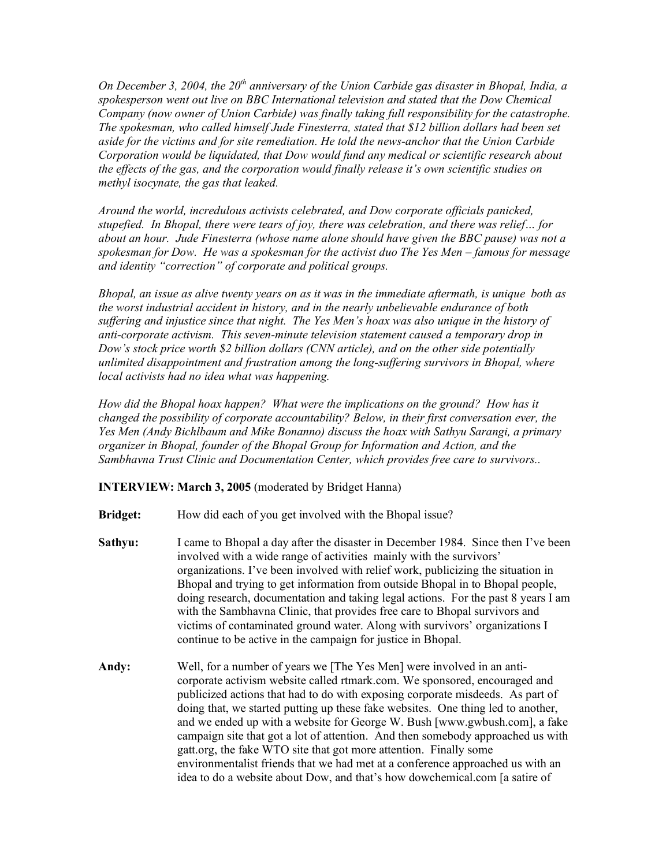*On December 3, 2004, the 20th anniversary of the Union Carbide gas disaster in Bhopal, India, a spokesperson went out live on BBC International television and stated that the Dow Chemical Company (now owner of Union Carbide) was finally taking full responsibility for the catastrophe. The spokesman, who called himself Jude Finesterra, stated that \$12 billion dollars had been set aside for the victims and for site remediation. He told the news-anchor that the Union Carbide Corporation would be liquidated, that Dow would fund any medical or scientific research about the effects of the gas, and the corporation would finally release it's own scientific studies on methyl isocynate, the gas that leaked.*

*Around the world, incredulous activists celebrated, and Dow corporate officials panicked, stupefied. In Bhopal, there were tears of joy, there was celebration, and there was relief… for about an hour. Jude Finesterra (whose name alone should have given the BBC pause) was not a spokesman for Dow. He was a spokesman for the activist duo The Yes Men – famous for message and identity "correction" of corporate and political groups.*

Bhopal, an issue as alive twenty years on as it was in the immediate aftermath, is unique both as *the worst industrial accident in history, and in the nearly unbelievable endurance of both suffering and injustice since that night. The Yes Men's hoax was also unique in the history of anti-corporate activism. This seven-minute television statement caused a temporary drop in Dow's stock price worth \$2 billion dollars (CNN article), and on the other side potentially unlimited disappointment and frustration among the long-suffering survivors in Bhopal, where local activists had no idea what was happening.*

*How did the Bhopal hoax happen? What were the implications on the ground? How has it changed the possibility of corporate accountability? Below, in their first conversation ever, the Yes Men (Andy Bichlbaum and Mike Bonanno) discuss the hoax with Sathyu Sarangi, a primary organizer in Bhopal, founder of the Bhopal Group for Information and Action, and the Sambhavna Trust Clinic and Documentation Center, which provides free care to survivors..*

**INTERVIEW: March 3, 2005** (moderated by Bridget Hanna)

- **Bridget:** How did each of you get involved with the Bhopal issue?
- **Sathyu:** I came to Bhopal a day after the disaster in December 1984. Since then I've been involved with a wide range of activities mainly with the survivors' organizations. I've been involved with relief work, publicizing the situation in Bhopal and trying to get information from outside Bhopal in to Bhopal people, doing research, documentation and taking legal actions. For the past 8 years I am with the Sambhavna Clinic, that provides free care to Bhopal survivors and victims of contaminated ground water. Along with survivors' organizations I continue to be active in the campaign for justice in Bhopal.
- **Andy:** Well, for a number of years we [The Yes Men] were involved in an anticorporate activism website called rtmark.com. We sponsored, encouraged and publicized actions that had to do with exposing corporate misdeeds. As part of doing that, we started putting up these fake websites. One thing led to another, and we ended up with a website for George W. Bush [www.gwbush.com], a fake campaign site that got a lot of attention. And then somebody approached us with gatt.org, the fake WTO site that got more attention. Finally some environmentalist friends that we had met at a conference approached us with an idea to do a website about Dow, and that's how dowchemical.com [a satire of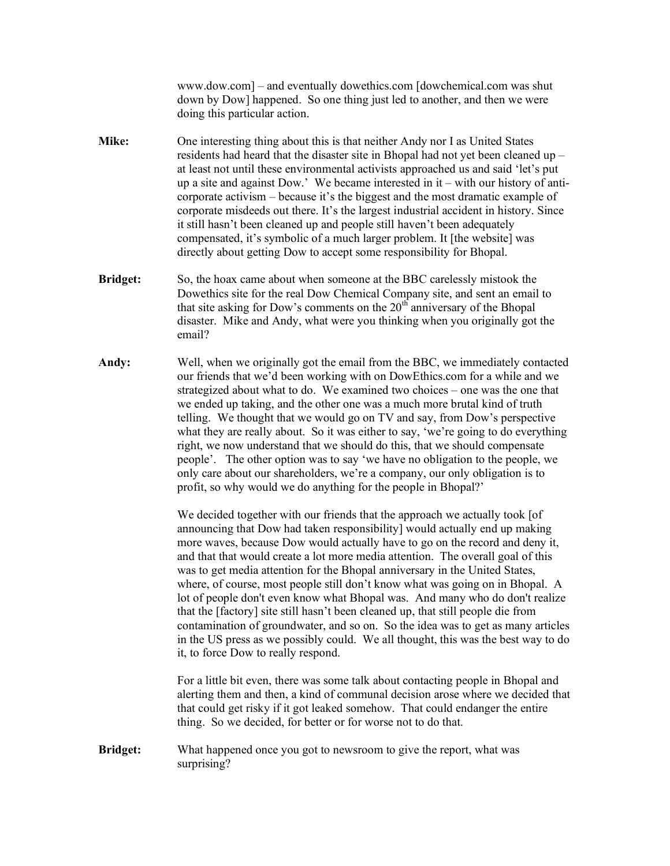www.dow.com] – and eventually dowethics.com [dowchemical.com was shut down by Dow] happened. So one thing just led to another, and then we were doing this particular action.

- **Mike:** One interesting thing about this is that neither Andy nor I as United States residents had heard that the disaster site in Bhopal had not yet been cleaned up – at least not until these environmental activists approached us and said 'let's put up a site and against Dow.' We became interested in it – with our history of anticorporate activism – because it's the biggest and the most dramatic example of corporate misdeeds out there. It's the largest industrial accident in history. Since it still hasn't been cleaned up and people still haven't been adequately compensated, it's symbolic of a much larger problem. It [the website] was directly about getting Dow to accept some responsibility for Bhopal.
- **Bridget:** So, the hoax came about when someone at the BBC carelessly mistook the Dowethics site for the real Dow Chemical Company site, and sent an email to that site asking for Dow's comments on the  $20<sup>th</sup>$  anniversary of the Bhopal disaster. Mike and Andy, what were you thinking when you originally got the email?
- **Andy:** Well, when we originally got the email from the BBC, we immediately contacted our friends that we'd been working with on DowEthics.com for a while and we strategized about what to do. We examined two choices – one was the one that we ended up taking, and the other one was a much more brutal kind of truth telling. We thought that we would go on TV and say, from Dow's perspective what they are really about. So it was either to say, 'we're going to do everything right, we now understand that we should do this, that we should compensate people'. The other option was to say 'we have no obligation to the people, we only care about our shareholders, we're a company, our only obligation is to profit, so why would we do anything for the people in Bhopal?'

We decided together with our friends that the approach we actually took [of] announcing that Dow had taken responsibility] would actually end up making more waves, because Dow would actually have to go on the record and deny it, and that that would create a lot more media attention. The overall goal of this was to get media attention for the Bhopal anniversary in the United States, where, of course, most people still don't know what was going on in Bhopal. A lot of people don't even know what Bhopal was. And many who do don't realize that the [factory] site still hasn't been cleaned up, that still people die from contamination of groundwater, and so on. So the idea was to get as many articles in the US press as we possibly could. We all thought, this was the best way to do it, to force Dow to really respond.

For a little bit even, there was some talk about contacting people in Bhopal and alerting them and then, a kind of communal decision arose where we decided that that could get risky if it got leaked somehow. That could endanger the entire thing. So we decided, for better or for worse not to do that.

**Bridget:** What happened once you got to newsroom to give the report, what was surprising?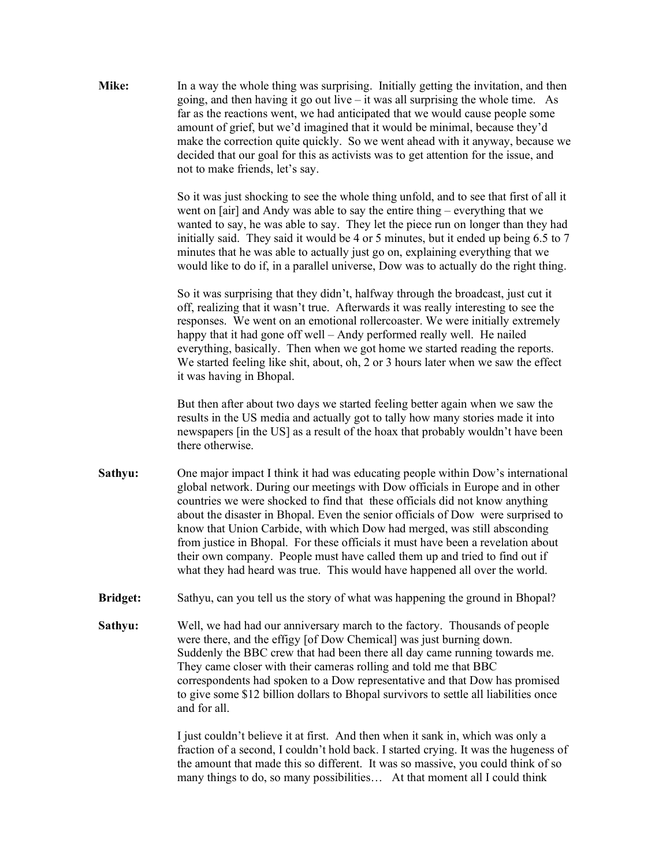**Mike:** In a way the whole thing was surprising. Initially getting the invitation, and then going, and then having it go out live – it was all surprising the whole time. As far as the reactions went, we had anticipated that we would cause people some amount of grief, but we'd imagined that it would be minimal, because they'd make the correction quite quickly. So we went ahead with it anyway, because we decided that our goal for this as activists was to get attention for the issue, and not to make friends, let's say.

> So it was just shocking to see the whole thing unfold, and to see that first of all it went on [air] and Andy was able to say the entire thing – everything that we wanted to say, he was able to say. They let the piece run on longer than they had initially said. They said it would be 4 or 5 minutes, but it ended up being 6.5 to 7 minutes that he was able to actually just go on, explaining everything that we would like to do if, in a parallel universe, Dow was to actually do the right thing.

So it was surprising that they didn't, halfway through the broadcast, just cut it off, realizing that it wasn't true. Afterwards it was really interesting to see the responses. We went on an emotional rollercoaster. We were initially extremely happy that it had gone off well – Andy performed really well. He nailed everything, basically. Then when we got home we started reading the reports. We started feeling like shit, about, oh, 2 or 3 hours later when we saw the effect it was having in Bhopal.

But then after about two days we started feeling better again when we saw the results in the US media and actually got to tally how many stories made it into newspapers [in the US] as a result of the hoax that probably wouldn't have been there otherwise.

- **Sathyu:** One major impact I think it had was educating people within Dow's international global network. During our meetings with Dow officials in Europe and in other countries we were shocked to find that these officials did not know anything about the disaster in Bhopal. Even the senior officials of Dow were surprised to know that Union Carbide, with which Dow had merged, was still absconding from justice in Bhopal. For these officials it must have been a revelation about their own company. People must have called them up and tried to find out if what they had heard was true. This would have happened all over the world.
- **Bridget:** Sathyu, can you tell us the story of what was happening the ground in Bhopal?
- **Sathyu:** Well, we had had our anniversary march to the factory. Thousands of people were there, and the effigy [of Dow Chemical] was just burning down. Suddenly the BBC crew that had been there all day came running towards me. They came closer with their cameras rolling and told me that BBC correspondents had spoken to a Dow representative and that Dow has promised to give some \$12 billion dollars to Bhopal survivors to settle all liabilities once and for all.

I just couldn't believe it at first. And then when it sank in, which was only a fraction of a second, I couldn't hold back. I started crying. It was the hugeness of the amount that made this so different. It was so massive, you could think of so many things to do, so many possibilities… At that moment all I could think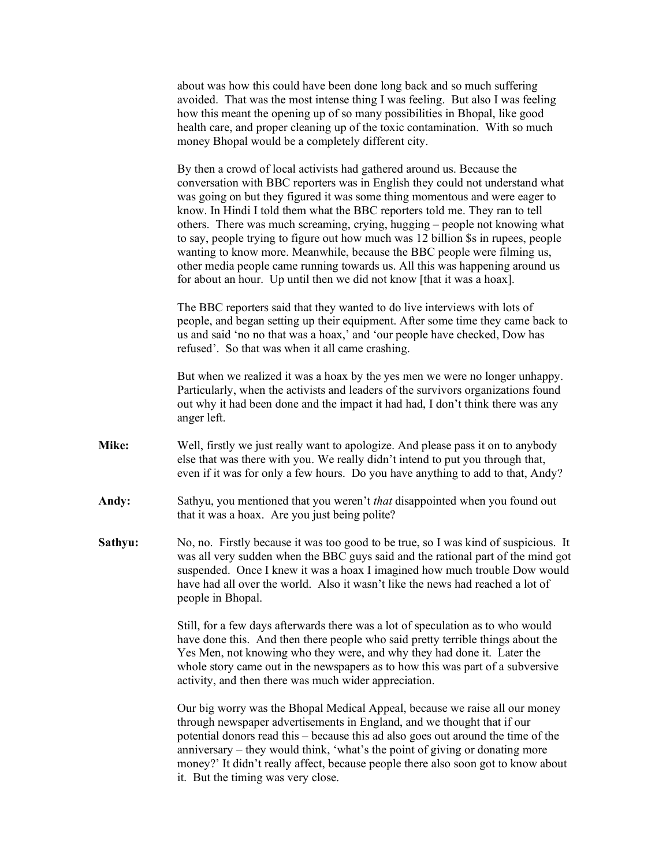about was how this could have been done long back and so much suffering avoided. That was the most intense thing I was feeling. But also I was feeling how this meant the opening up of so many possibilities in Bhopal, like good health care, and proper cleaning up of the toxic contamination. With so much money Bhopal would be a completely different city.

By then a crowd of local activists had gathered around us. Because the conversation with BBC reporters was in English they could not understand what was going on but they figured it was some thing momentous and were eager to know. In Hindi I told them what the BBC reporters told me. They ran to tell others. There was much screaming, crying, hugging – people not knowing what to say, people trying to figure out how much was 12 billion \$s in rupees, people wanting to know more. Meanwhile, because the BBC people were filming us, other media people came running towards us. All this was happening around us for about an hour. Up until then we did not know [that it was a hoax].

The BBC reporters said that they wanted to do live interviews with lots of people, and began setting up their equipment. After some time they came back to us and said 'no no that was a hoax,' and 'our people have checked, Dow has refused'. So that was when it all came crashing.

But when we realized it was a hoax by the yes men we were no longer unhappy. Particularly, when the activists and leaders of the survivors organizations found out why it had been done and the impact it had had, I don't think there was any anger left.

- **Mike:** Well, firstly we just really want to apologize. And please pass it on to anybody else that was there with you. We really didn't intend to put you through that, even if it was for only a few hours. Do you have anything to add to that, Andy?
- **Andy:** Sathyu, you mentioned that you weren't *that* disappointed when you found out that it was a hoax. Are you just being polite?
- **Sathyu:** No, no. Firstly because it was too good to be true, so I was kind of suspicious. It was all very sudden when the BBC guys said and the rational part of the mind got suspended. Once I knew it was a hoax I imagined how much trouble Dow would have had all over the world. Also it wasn't like the news had reached a lot of people in Bhopal.

Still, for a few days afterwards there was a lot of speculation as to who would have done this. And then there people who said pretty terrible things about the Yes Men, not knowing who they were, and why they had done it. Later the whole story came out in the newspapers as to how this was part of a subversive activity, and then there was much wider appreciation.

Our big worry was the Bhopal Medical Appeal, because we raise all our money through newspaper advertisements in England, and we thought that if our potential donors read this – because this ad also goes out around the time of the anniversary – they would think, 'what's the point of giving or donating more money?' It didn't really affect, because people there also soon got to know about it. But the timing was very close.